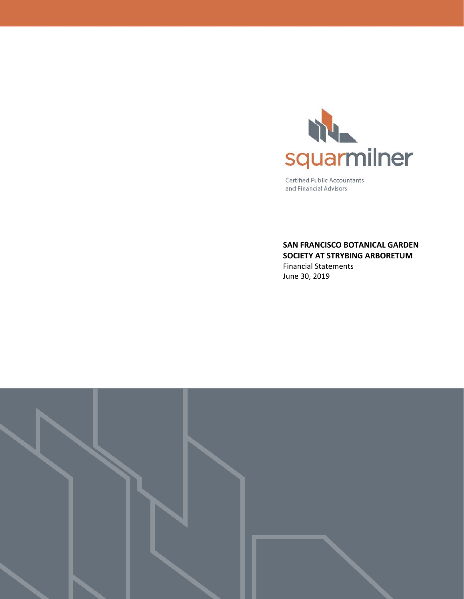

Certified Public Accountants and Financial Advisors

**SAN FRANCISCO BOTANICAL GARDEN SOCIETY AT STRYBING ARBORETUM**  Financial Statements June 30, 2019

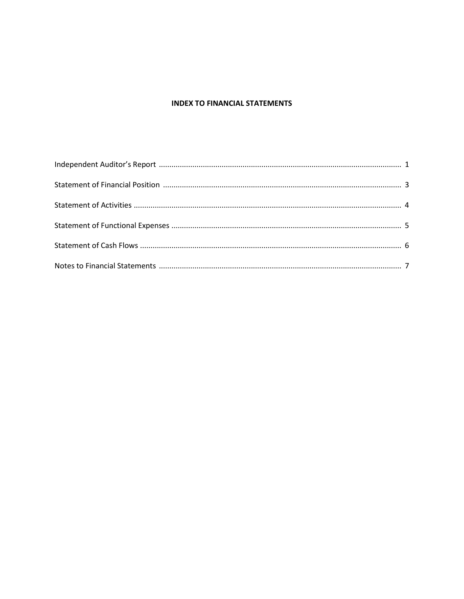## **INDEX TO FINANCIAL STATEMENTS**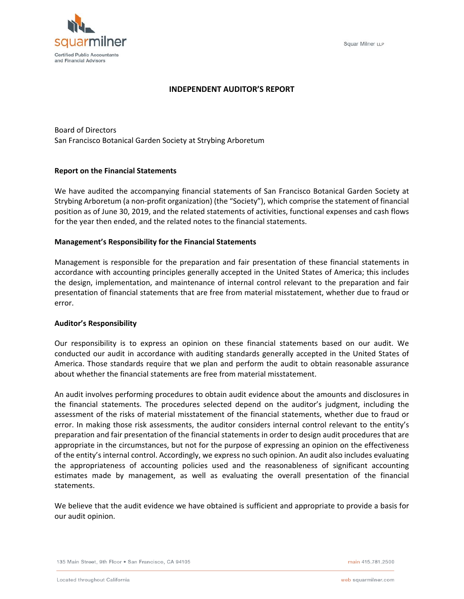Squar Milner LLP



## **INDEPENDENT AUDITOR'S REPORT**

Board of Directors San Francisco Botanical Garden Society at Strybing Arboretum

### **Report on the Financial Statements**

We have audited the accompanying financial statements of San Francisco Botanical Garden Society at Strybing Arboretum (a non‐profit organization) (the "Society"), which comprise the statement of financial position as of June 30, 2019, and the related statements of activities, functional expenses and cash flows for the year then ended, and the related notes to the financial statements.

### **Management's Responsibility for the Financial Statements**

Management is responsible for the preparation and fair presentation of these financial statements in accordance with accounting principles generally accepted in the United States of America; this includes the design, implementation, and maintenance of internal control relevant to the preparation and fair presentation of financial statements that are free from material misstatement, whether due to fraud or error.

#### **Auditor's Responsibility**

Our responsibility is to express an opinion on these financial statements based on our audit. We conducted our audit in accordance with auditing standards generally accepted in the United States of America. Those standards require that we plan and perform the audit to obtain reasonable assurance about whether the financial statements are free from material misstatement.

An audit involves performing procedures to obtain audit evidence about the amounts and disclosures in the financial statements. The procedures selected depend on the auditor's judgment, including the assessment of the risks of material misstatement of the financial statements, whether due to fraud or error. In making those risk assessments, the auditor considers internal control relevant to the entity's preparation and fair presentation of the financial statements in order to design audit procedures that are appropriate in the circumstances, but not for the purpose of expressing an opinion on the effectiveness of the entity's internal control. Accordingly, we express no such opinion. An audit also includes evaluating the appropriateness of accounting policies used and the reasonableness of significant accounting estimates made by management, as well as evaluating the overall presentation of the financial statements.

We believe that the audit evidence we have obtained is sufficient and appropriate to provide a basis for our audit opinion.

135 Main Street, 9th Floor . San Francisco, CA 94105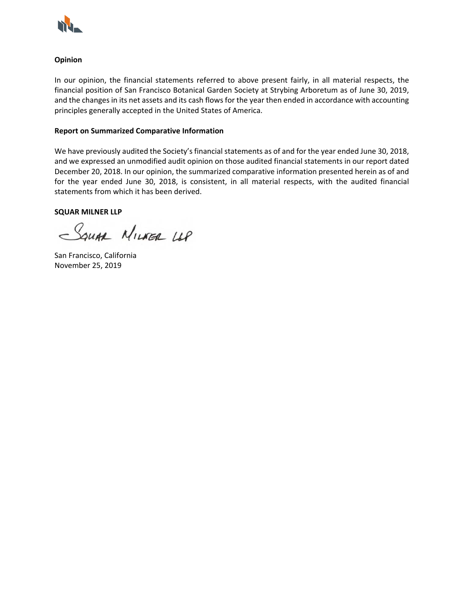

## **Opinion**

In our opinion, the financial statements referred to above present fairly, in all material respects, the financial position of San Francisco Botanical Garden Society at Strybing Arboretum as of June 30, 2019, and the changes in its net assets and its cash flows for the year then ended in accordance with accounting principles generally accepted in the United States of America.

## **Report on Summarized Comparative Information**

We have previously audited the Society's financial statements as of and for the year ended June 30, 2018, and we expressed an unmodified audit opinion on those audited financial statements in our report dated December 20, 2018. In our opinion, the summarized comparative information presented herein as of and for the year ended June 30, 2018, is consistent, in all material respects, with the audited financial statements from which it has been derived.

## **SQUAR MILNER LLP**

SQUAR MILNER LLP

San Francisco, California November 25, 2019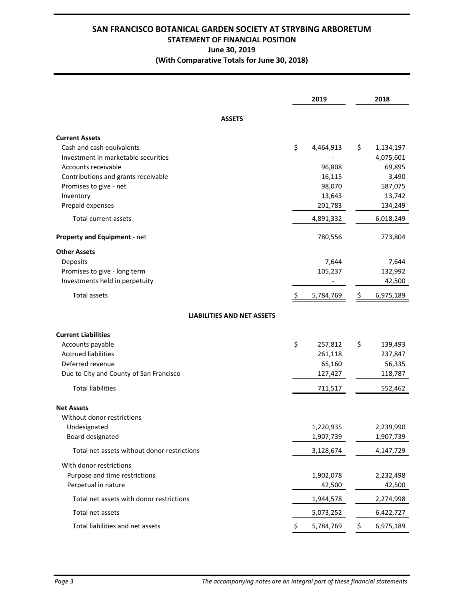# **SAN FRANCISCO BOTANICAL GARDEN SOCIETY AT STRYBING ARBORETUM STATEMENT OF FINANCIAL POSITION June 30, 2019 (With Comparative Totals for June 30, 2018)**

|                                             | 2019            | 2018            |
|---------------------------------------------|-----------------|-----------------|
| <b>ASSETS</b>                               |                 |                 |
| <b>Current Assets</b>                       |                 |                 |
| Cash and cash equivalents                   | \$<br>4,464,913 | \$<br>1,134,197 |
| Investment in marketable securities         |                 | 4,075,601       |
| Accounts receivable                         | 96,808          | 69,895          |
| Contributions and grants receivable         | 16,115          | 3,490           |
| Promises to give - net                      | 98,070          | 587,075         |
| Inventory                                   | 13,643          | 13,742          |
| Prepaid expenses                            | 201,783         | 134,249         |
| Total current assets                        | 4,891,332       | 6,018,249       |
| Property and Equipment - net                | 780,556         | 773,804         |
| <b>Other Assets</b>                         |                 |                 |
| Deposits                                    | 7,644           | 7,644           |
| Promises to give - long term                | 105,237         | 132,992         |
| Investments held in perpetuity              |                 | 42,500          |
| <b>Total assets</b>                         | \$<br>5,784,769 | \$<br>6,975,189 |
| <b>LIABILITIES AND NET ASSETS</b>           |                 |                 |
| <b>Current Liabilities</b>                  |                 |                 |
| Accounts payable                            | \$<br>257,812   | \$<br>139,493   |
| <b>Accrued liabilities</b>                  | 261,118         | 237,847         |
| Deferred revenue                            | 65,160          | 56,335          |
| Due to City and County of San Francisco     | 127,427         | 118,787         |
| <b>Total liabilities</b>                    | 711,517         | 552,462         |
| <b>Net Assets</b>                           |                 |                 |
| Without donor restrictions                  |                 |                 |
| Undesignated                                | 1,220,935       | 2,239,990       |
| Board designated                            | 1,907,739       | 1,907,739       |
| Total net assets without donor restrictions | 3,128,674       | 4,147,729       |
| With donor restrictions                     |                 |                 |
| Purpose and time restrictions               | 1,902,078       | 2,232,498       |
| Perpetual in nature                         | 42,500          | 42,500          |
| Total net assets with donor restrictions    | 1,944,578       | 2,274,998       |
| Total net assets                            | 5,073,252       | 6,422,727       |
| Total liabilities and net assets            | Ş<br>5,784,769  | \$<br>6,975,189 |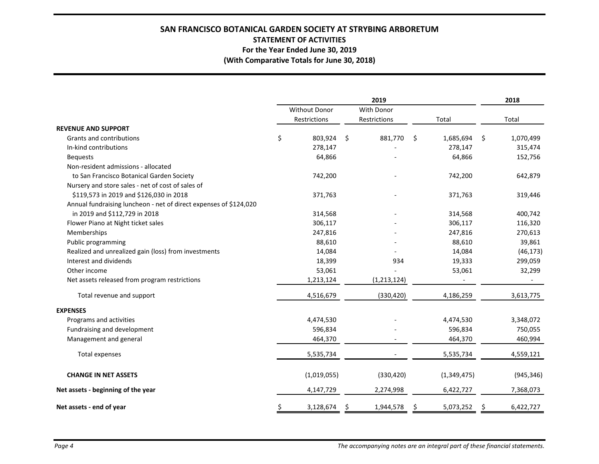# **SAN FRANCISCO BOTANICAL GARDEN SOCIETY AT STRYBING ARBORETUM STATEMENT OF ACTIVITIES For the Year Ended June 30, 2019 (With Comparative Totals for June 30, 2018)**

|                                                                   | 2019 |                      |     |                   |    |             | 2018 |            |
|-------------------------------------------------------------------|------|----------------------|-----|-------------------|----|-------------|------|------------|
|                                                                   |      | <b>Without Donor</b> |     | <b>With Donor</b> |    |             |      |            |
|                                                                   |      | Restrictions         |     | Restrictions      |    | Total       |      | Total      |
| <b>REVENUE AND SUPPORT</b>                                        |      |                      |     |                   |    |             |      |            |
| Grants and contributions                                          | \$   | 803,924              | Ŝ.  | 881,770           | \$ | 1,685,694   | \$   | 1,070,499  |
| In-kind contributions                                             |      | 278,147              |     |                   |    | 278,147     |      | 315,474    |
| <b>Bequests</b>                                                   |      | 64,866               |     |                   |    | 64,866      |      | 152,756    |
| Non-resident admissions - allocated                               |      |                      |     |                   |    |             |      |            |
| to San Francisco Botanical Garden Society                         |      | 742,200              |     |                   |    | 742,200     |      | 642,879    |
| Nursery and store sales - net of cost of sales of                 |      |                      |     |                   |    |             |      |            |
| \$119,573 in 2019 and \$126,030 in 2018                           |      | 371,763              |     |                   |    | 371,763     |      | 319,446    |
| Annual fundraising luncheon - net of direct expenses of \$124,020 |      |                      |     |                   |    |             |      |            |
| in 2019 and \$112,729 in 2018                                     |      | 314,568              |     |                   |    | 314,568     |      | 400,742    |
| Flower Piano at Night ticket sales                                |      | 306,117              |     |                   |    | 306,117     |      | 116,320    |
| Memberships                                                       |      | 247,816              |     |                   |    | 247,816     |      | 270,613    |
| Public programming                                                |      | 88,610               |     |                   |    | 88,610      |      | 39,861     |
| Realized and unrealized gain (loss) from investments              |      | 14,084               |     |                   |    | 14,084      |      | (46, 173)  |
| Interest and dividends                                            |      | 18,399               |     | 934               |    | 19,333      |      | 299,059    |
| Other income                                                      |      | 53,061               |     |                   |    | 53,061      |      | 32,299     |
| Net assets released from program restrictions                     |      | 1,213,124            |     | (1,213,124)       |    |             |      |            |
| Total revenue and support                                         |      | 4,516,679            |     | (330, 420)        |    | 4,186,259   |      | 3,613,775  |
| <b>EXPENSES</b>                                                   |      |                      |     |                   |    |             |      |            |
| Programs and activities                                           |      | 4,474,530            |     |                   |    | 4,474,530   |      | 3,348,072  |
| Fundraising and development                                       |      | 596,834              |     |                   |    | 596,834     |      | 750,055    |
| Management and general                                            |      | 464,370              |     |                   |    | 464,370     |      | 460,994    |
| Total expenses                                                    |      | 5,535,734            |     |                   |    | 5,535,734   |      | 4,559,121  |
| <b>CHANGE IN NET ASSETS</b>                                       |      | (1,019,055)          |     | (330, 420)        |    | (1,349,475) |      | (945, 346) |
| Net assets - beginning of the year                                |      | 4,147,729            |     | 2,274,998         |    | 6,422,727   |      | 7,368,073  |
| Net assets - end of year                                          | \$   | 3,128,674            | \$. | 1,944,578         | \$ | 5,073,252   | S.   | 6,422,727  |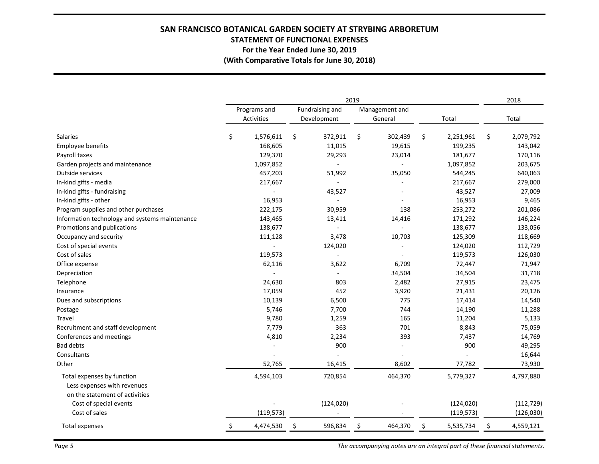# **SAN FRANCISCO BOTANICAL GARDEN SOCIETY AT STRYBING ARBORETUM STATEMENT OF FUNCTIONAL EXPENSES For the Year Ended June 30, 2019 (With Comparative Totals for June 30, 2018)**

|                                                                                             | 2019 |                            |    |                                |    | 2018                      |                 |                 |
|---------------------------------------------------------------------------------------------|------|----------------------------|----|--------------------------------|----|---------------------------|-----------------|-----------------|
|                                                                                             |      | Programs and<br>Activities |    | Fundraising and<br>Development |    | Management and<br>General | Total           | Total           |
| Salaries                                                                                    | \$   | 1,576,611                  | \$ | 372,911                        | \$ | 302,439                   | \$<br>2,251,961 | \$<br>2,079,792 |
| Employee benefits                                                                           |      | 168,605                    |    | 11,015                         |    | 19,615                    | 199,235         | 143,042         |
| Payroll taxes                                                                               |      | 129,370                    |    | 29,293                         |    | 23,014                    | 181,677         | 170,116         |
| Garden projects and maintenance                                                             |      | 1,097,852                  |    |                                |    |                           | 1,097,852       | 203,675         |
| Outside services                                                                            |      | 457,203                    |    | 51,992                         |    | 35,050                    | 544,245         | 640,063         |
| In-kind gifts - media                                                                       |      | 217,667                    |    |                                |    |                           | 217,667         | 279,000         |
| In-kind gifts - fundraising                                                                 |      |                            |    | 43,527                         |    |                           | 43,527          | 27,009          |
| In-kind gifts - other                                                                       |      | 16,953                     |    |                                |    |                           | 16,953          | 9,465           |
| Program supplies and other purchases                                                        |      | 222,175                    |    | 30,959                         |    | 138                       | 253,272         | 201,086         |
| Information technology and systems maintenance                                              |      | 143,465                    |    | 13,411                         |    | 14,416                    | 171,292         | 146,224         |
| Promotions and publications                                                                 |      | 138,677                    |    |                                |    |                           | 138,677         | 133,056         |
| Occupancy and security                                                                      |      | 111,128                    |    | 3,478                          |    | 10,703                    | 125,309         | 118,669         |
| Cost of special events                                                                      |      |                            |    | 124,020                        |    |                           | 124,020         | 112,729         |
| Cost of sales                                                                               |      | 119,573                    |    |                                |    |                           | 119,573         | 126,030         |
| Office expense                                                                              |      | 62,116                     |    | 3,622                          |    | 6,709                     | 72,447          | 71,947          |
| Depreciation                                                                                |      |                            |    |                                |    | 34,504                    | 34,504          | 31,718          |
| Telephone                                                                                   |      | 24,630                     |    | 803                            |    | 2,482                     | 27,915          | 23,475          |
| Insurance                                                                                   |      | 17,059                     |    | 452                            |    | 3,920                     | 21,431          | 20,126          |
| Dues and subscriptions                                                                      |      | 10,139                     |    | 6,500                          |    | 775                       | 17,414          | 14,540          |
| Postage                                                                                     |      | 5,746                      |    | 7,700                          |    | 744                       | 14,190          | 11,288          |
| Travel                                                                                      |      | 9,780                      |    | 1,259                          |    | 165                       | 11,204          | 5,133           |
| Recruitment and staff development                                                           |      | 7,779                      |    | 363                            |    | 701                       | 8,843           | 75,059          |
| Conferences and meetings                                                                    |      | 4,810                      |    | 2,234                          |    | 393                       | 7,437           | 14,769          |
| <b>Bad debts</b>                                                                            |      |                            |    | 900                            |    |                           | 900             | 49,295          |
| Consultants                                                                                 |      |                            |    |                                |    |                           |                 | 16,644          |
| Other                                                                                       |      | 52,765                     |    | 16,415                         |    | 8,602                     | 77,782          | 73,930          |
| Total expenses by function<br>Less expenses with revenues<br>on the statement of activities |      | 4,594,103                  |    | 720,854                        |    | 464,370                   | 5,779,327       | 4,797,880       |
| Cost of special events                                                                      |      |                            |    | (124, 020)                     |    |                           | (124, 020)      | (112, 729)      |
| Cost of sales                                                                               |      | (119, 573)                 |    |                                |    |                           | (119, 573)      | (126, 030)      |
| <b>Total expenses</b>                                                                       | \$   | 4,474,530                  | \$ | 596,834                        | \$ | 464,370                   | \$<br>5,535,734 | \$<br>4,559,121 |

*Page 5 The accompanying notes are an integral part of these financial statements.*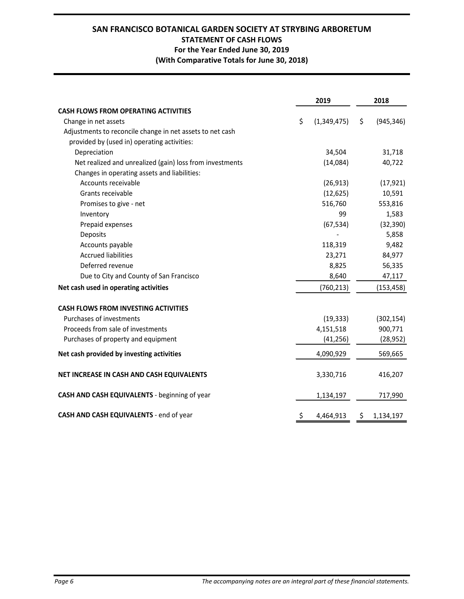# **SAN FRANCISCO BOTANICAL GARDEN SOCIETY AT STRYBING ARBORETUM STATEMENT OF CASH FLOWS For the Year Ended June 30, 2019 (With Comparative Totals for June 30, 2018)**

|                                                           | 2019              | 2018 |            |  |
|-----------------------------------------------------------|-------------------|------|------------|--|
| <b>CASH FLOWS FROM OPERATING ACTIVITIES</b>               |                   |      |            |  |
| Change in net assets                                      | \$<br>(1,349,475) | \$.  | (945, 346) |  |
| Adjustments to reconcile change in net assets to net cash |                   |      |            |  |
| provided by (used in) operating activities:               |                   |      |            |  |
| Depreciation                                              | 34,504            |      | 31,718     |  |
| Net realized and unrealized (gain) loss from investments  | (14,084)          |      | 40,722     |  |
| Changes in operating assets and liabilities:              |                   |      |            |  |
| Accounts receivable                                       | (26, 913)         |      | (17, 921)  |  |
| Grants receivable                                         | (12, 625)         |      | 10,591     |  |
| Promises to give - net                                    | 516,760           |      | 553,816    |  |
| Inventory                                                 | 99                |      | 1,583      |  |
| Prepaid expenses                                          | (67, 534)         |      | (32, 390)  |  |
| Deposits                                                  |                   |      | 5,858      |  |
| Accounts payable                                          | 118,319           |      | 9,482      |  |
| <b>Accrued liabilities</b>                                | 23,271            |      | 84,977     |  |
| Deferred revenue                                          | 8,825             |      | 56,335     |  |
| Due to City and County of San Francisco                   | 8,640             |      | 47,117     |  |
| Net cash used in operating activities                     | (760, 213)        |      | (153, 458) |  |
| <b>CASH FLOWS FROM INVESTING ACTIVITIES</b>               |                   |      |            |  |
| Purchases of investments                                  | (19, 333)         |      | (302, 154) |  |
| Proceeds from sale of investments                         | 4,151,518         |      | 900,771    |  |
| Purchases of property and equipment                       | (41, 256)         |      | (28, 952)  |  |
| Net cash provided by investing activities                 | 4,090,929         |      | 569,665    |  |
| NET INCREASE IN CASH AND CASH EQUIVALENTS                 | 3,330,716         |      | 416,207    |  |
| CASH AND CASH EQUIVALENTS - beginning of year             | 1,134,197         |      | 717,990    |  |
| CASH AND CASH EQUIVALENTS - end of year                   | 4,464,913         | Ş.   | 1,134,197  |  |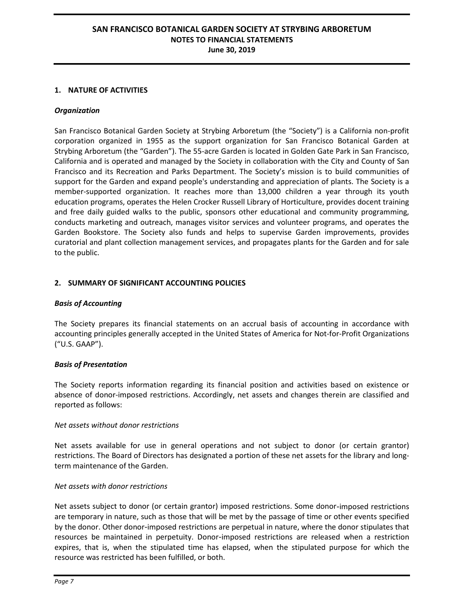## **1. NATURE OF ACTIVITIES**

### *Organization*

San Francisco Botanical Garden Society at Strybing Arboretum (the "Society") is a California non-profit corporation organized in 1955 as the support organization for San Francisco Botanical Garden at Strybing Arboretum (the "Garden"). The 55-acre Garden is located in Golden Gate Park in San Francisco, California and is operated and managed by the Society in collaboration with the City and County of San Francisco and its Recreation and Parks Department. The Society's mission is to build communities of support for the Garden and expand people's understanding and appreciation of plants. The Society is a member-supported organization. It reaches more than 13,000 children a year through its youth education programs, operates the Helen Crocker Russell Library of Horticulture, provides docent training and free daily guided walks to the public, sponsors other educational and community programming, conducts marketing and outreach, manages visitor services and volunteer programs, and operates the Garden Bookstore. The Society also funds and helps to supervise Garden improvements, provides curatorial and plant collection management services, and propagates plants for the Garden and for sale to the public.

## **2. SUMMARY OF SIGNIFICANT ACCOUNTING POLICIES**

### *Basis of Accounting*

The Society prepares its financial statements on an accrual basis of accounting in accordance with accounting principles generally accepted in the United States of America for Not-for-Profit Organizations ("U.S. GAAP").

#### *Basis of Presentation*

The Society reports information regarding its financial position and activities based on existence or absence of donor-imposed restrictions. Accordingly, net assets and changes therein are classified and reported as follows:

#### *Net assets without donor restrictions*

Net assets available for use in general operations and not subject to donor (or certain grantor) restrictions. The Board of Directors has designated a portion of these net assets for the library and longterm maintenance of the Garden.

#### *Net assets with donor restrictions*

Net assets subject to donor (or certain grantor) imposed restrictions. Some donor-imposed restrictions are temporary in nature, such as those that will be met by the passage of time or other events specified by the donor. Other donor-imposed restrictions are perpetual in nature, where the donor stipulates that resources be maintained in perpetuity. Donor-imposed restrictions are released when a restriction expires, that is, when the stipulated time has elapsed, when the stipulated purpose for which the resource was restricted has been fulfilled, or both.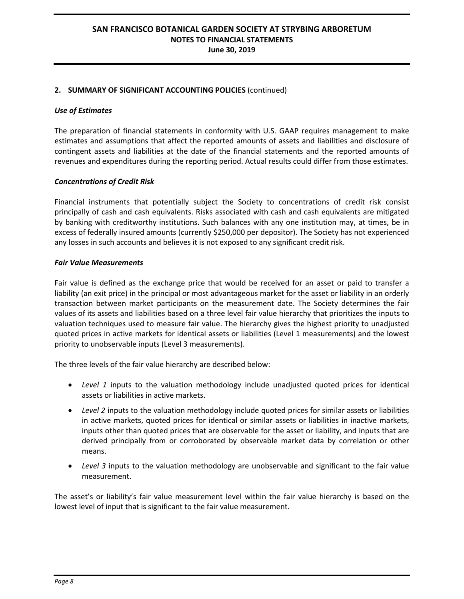## **2. SUMMARY OF SIGNIFICANT ACCOUNTING POLICIES** (continued)

### *Use of Estimates*

The preparation of financial statements in conformity with U.S. GAAP requires management to make estimates and assumptions that affect the reported amounts of assets and liabilities and disclosure of contingent assets and liabilities at the date of the financial statements and the reported amounts of revenues and expenditures during the reporting period. Actual results could differ from those estimates.

### *Concentrations of Credit Risk*

Financial instruments that potentially subject the Society to concentrations of credit risk consist principally of cash and cash equivalents. Risks associated with cash and cash equivalents are mitigated by banking with creditworthy institutions. Such balances with any one institution may, at times, be in excess of federally insured amounts (currently \$250,000 per depositor). The Society has not experienced any losses in such accounts and believes it is not exposed to any significant credit risk.

### *Fair Value Measurements*

Fair value is defined as the exchange price that would be received for an asset or paid to transfer a liability (an exit price) in the principal or most advantageous market for the asset or liability in an orderly transaction between market participants on the measurement date. The Society determines the fair values of its assets and liabilities based on a three level fair value hierarchy that prioritizes the inputs to valuation techniques used to measure fair value. The hierarchy gives the highest priority to unadjusted quoted prices in active markets for identical assets or liabilities (Level 1 measurements) and the lowest priority to unobservable inputs (Level 3 measurements).

The three levels of the fair value hierarchy are described below:

- *Level 1* inputs to the valuation methodology include unadjusted quoted prices for identical assets or liabilities in active markets.
- *Level 2* inputs to the valuation methodology include quoted prices for similar assets or liabilities in active markets, quoted prices for identical or similar assets or liabilities in inactive markets, inputs other than quoted prices that are observable for the asset or liability, and inputs that are derived principally from or corroborated by observable market data by correlation or other means.
- *Level 3* inputs to the valuation methodology are unobservable and significant to the fair value measurement.

The asset's or liability's fair value measurement level within the fair value hierarchy is based on the lowest level of input that is significant to the fair value measurement.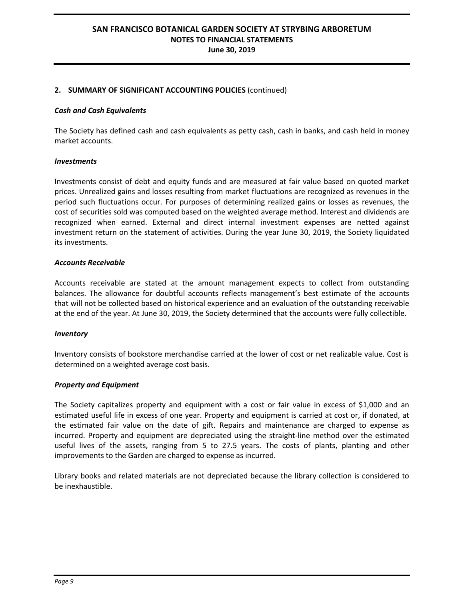## **2. SUMMARY OF SIGNIFICANT ACCOUNTING POLICIES** (continued)

#### *Cash and Cash Equivalents*

The Society has defined cash and cash equivalents as petty cash, cash in banks, and cash held in money market accounts.

#### *Investments*

Investments consist of debt and equity funds and are measured at fair value based on quoted market prices. Unrealized gains and losses resulting from market fluctuations are recognized as revenues in the period such fluctuations occur. For purposes of determining realized gains or losses as revenues, the cost of securities sold was computed based on the weighted average method. Interest and dividends are recognized when earned. External and direct internal investment expenses are netted against investment return on the statement of activities. During the year June 30, 2019, the Society liquidated its investments.

### *Accounts Receivable*

Accounts receivable are stated at the amount management expects to collect from outstanding balances. The allowance for doubtful accounts reflects management's best estimate of the accounts that will not be collected based on historical experience and an evaluation of the outstanding receivable at the end of the year. At June 30, 2019, the Society determined that the accounts were fully collectible.

#### *Inventory*

Inventory consists of bookstore merchandise carried at the lower of cost or net realizable value. Cost is determined on a weighted average cost basis.

## *Property and Equipment*

The Society capitalizes property and equipment with a cost or fair value in excess of \$1,000 and an estimated useful life in excess of one year. Property and equipment is carried at cost or, if donated, at the estimated fair value on the date of gift. Repairs and maintenance are charged to expense as incurred. Property and equipment are depreciated using the straight-line method over the estimated useful lives of the assets, ranging from 5 to 27.5 years. The costs of plants, planting and other improvements to the Garden are charged to expense as incurred.

Library books and related materials are not depreciated because the library collection is considered to be inexhaustible.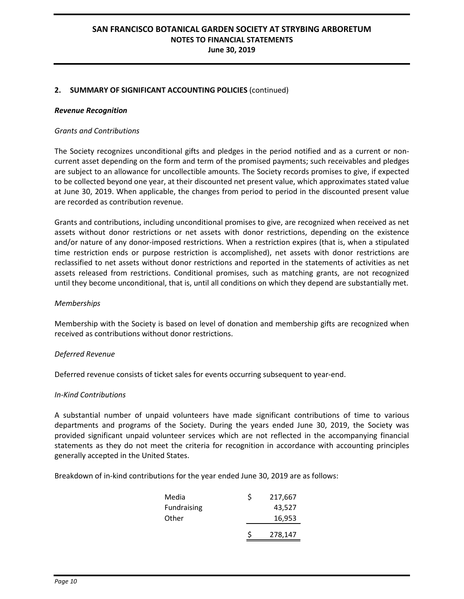### **2. SUMMARY OF SIGNIFICANT ACCOUNTING POLICIES** (continued)

#### *Revenue Recognition*

#### *Grants and Contributions*

The Society recognizes unconditional gifts and pledges in the period notified and as a current or noncurrent asset depending on the form and term of the promised payments; such receivables and pledges are subject to an allowance for uncollectible amounts. The Society records promises to give, if expected to be collected beyond one year, at their discounted net present value, which approximates stated value at June 30, 2019. When applicable, the changes from period to period in the discounted present value are recorded as contribution revenue.

Grants and contributions, including unconditional promises to give, are recognized when received as net assets without donor restrictions or net assets with donor restrictions, depending on the existence and/or nature of any donor-imposed restrictions. When a restriction expires (that is, when a stipulated time restriction ends or purpose restriction is accomplished), net assets with donor restrictions are reclassified to net assets without donor restrictions and reported in the statements of activities as net assets released from restrictions. Conditional promises, such as matching grants, are not recognized until they become unconditional, that is, until all conditions on which they depend are substantially met.

#### *Memberships*

Membership with the Society is based on level of donation and membership gifts are recognized when received as contributions without donor restrictions.

#### *Deferred Revenue*

Deferred revenue consists of ticket sales for events occurring subsequent to year-end.

#### *In-Kind Contributions*

A substantial number of unpaid volunteers have made significant contributions of time to various departments and programs of the Society. During the years ended June 30, 2019, the Society was provided significant unpaid volunteer services which are not reflected in the accompanying financial statements as they do not meet the criteria for recognition in accordance with accounting principles generally accepted in the United States.

Breakdown of in-kind contributions for the year ended June 30, 2019 are as follows:

| Media       | 217,667 |
|-------------|---------|
| Fundraising | 43,527  |
| Other       | 16,953  |
|             | 278,147 |
|             |         |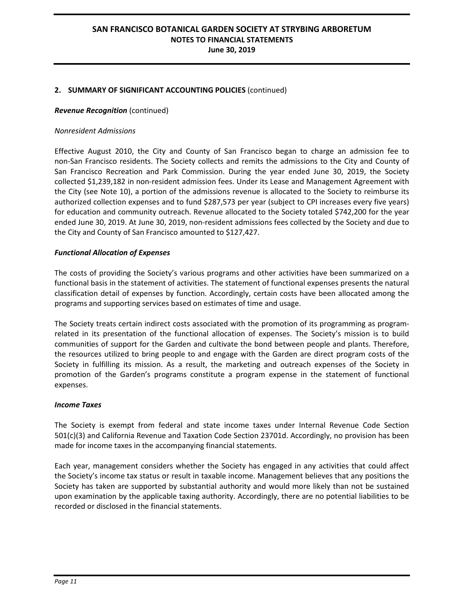## **2. SUMMARY OF SIGNIFICANT ACCOUNTING POLICIES** (continued)

### *Revenue Recognition* (continued)

#### *Nonresident Admissions*

Effective August 2010, the City and County of San Francisco began to charge an admission fee to non-San Francisco residents. The Society collects and remits the admissions to the City and County of San Francisco Recreation and Park Commission. During the year ended June 30, 2019, the Society collected \$1,239,182 in non-resident admission fees. Under its Lease and Management Agreement with the City (see Note 10), a portion of the admissions revenue is allocated to the Society to reimburse its authorized collection expenses and to fund \$287,573 per year (subject to CPI increases every five years) for education and community outreach. Revenue allocated to the Society totaled \$742,200 for the year ended June 30, 2019. At June 30, 2019, non-resident admissions fees collected by the Society and due to the City and County of San Francisco amounted to \$127,427.

### *Functional Allocation of Expenses*

The costs of providing the Society's various programs and other activities have been summarized on a functional basis in the statement of activities. The statement of functional expenses presents the natural classification detail of expenses by function. Accordingly, certain costs have been allocated among the programs and supporting services based on estimates of time and usage.

The Society treats certain indirect costs associated with the promotion of its programming as programrelated in its presentation of the functional allocation of expenses. The Society's mission is to build communities of support for the Garden and cultivate the bond between people and plants. Therefore, the resources utilized to bring people to and engage with the Garden are direct program costs of the Society in fulfilling its mission. As a result, the marketing and outreach expenses of the Society in promotion of the Garden's programs constitute a program expense in the statement of functional expenses.

#### *Income Taxes*

The Society is exempt from federal and state income taxes under Internal Revenue Code Section 501(c)(3) and California Revenue and Taxation Code Section 23701d. Accordingly, no provision has been made for income taxes in the accompanying financial statements.

Each year, management considers whether the Society has engaged in any activities that could affect the Society's income tax status or result in taxable income. Management believes that any positions the Society has taken are supported by substantial authority and would more likely than not be sustained upon examination by the applicable taxing authority. Accordingly, there are no potential liabilities to be recorded or disclosed in the financial statements.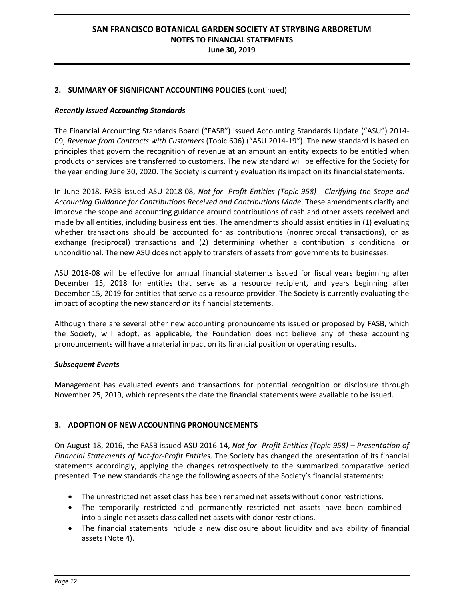## **2. SUMMARY OF SIGNIFICANT ACCOUNTING POLICIES** (continued)

## *Recently Issued Accounting Standards*

The Financial Accounting Standards Board ("FASB") issued Accounting Standards Update ("ASU") 2014- 09, *Revenue from Contracts with Customers* (Topic 606) ("ASU 2014-19"). The new standard is based on principles that govern the recognition of revenue at an amount an entity expects to be entitled when products or services are transferred to customers. The new standard will be effective for the Society for the year ending June 30, 2020. The Society is currently evaluation its impact on its financial statements.

In June 2018, FASB issued ASU 2018-08, *Not-for- Profit Entities (Topic 958) - Clarifying the Scope and Accounting Guidance for Contributions Received and Contributions Made*. These amendments clarify and improve the scope and accounting guidance around contributions of cash and other assets received and made by all entities, including business entities. The amendments should assist entities in (1) evaluating whether transactions should be accounted for as contributions (nonreciprocal transactions), or as exchange (reciprocal) transactions and (2) determining whether a contribution is conditional or unconditional. The new ASU does not apply to transfers of assets from governments to businesses.

ASU 2018-08 will be effective for annual financial statements issued for fiscal years beginning after December 15, 2018 for entities that serve as a resource recipient, and years beginning after December 15, 2019 for entities that serve as a resource provider. The Society is currently evaluating the impact of adopting the new standard on its financial statements.

Although there are several other new accounting pronouncements issued or proposed by FASB, which the Society, will adopt, as applicable, the Foundation does not believe any of these accounting pronouncements will have a material impact on its financial position or operating results.

## *Subsequent Events*

Management has evaluated events and transactions for potential recognition or disclosure through November 25, 2019, which represents the date the financial statements were available to be issued.

# **3. ADOPTION OF NEW ACCOUNTING PRONOUNCEMENTS**

On August 18, 2016, the FASB issued ASU 2016-14, *Not-for- Profit Entities (Topic 958) – Presentation of Financial Statements of Not-for-Profit Entities*. The Society has changed the presentation of its financial statements accordingly, applying the changes retrospectively to the summarized comparative period presented. The new standards change the following aspects of the Society's financial statements:

- The unrestricted net asset class has been renamed net assets without donor restrictions.
- The temporarily restricted and permanently restricted net assets have been combined into a single net assets class called net assets with donor restrictions.
- The financial statements include a new disclosure about liquidity and availability of financial assets (Note 4).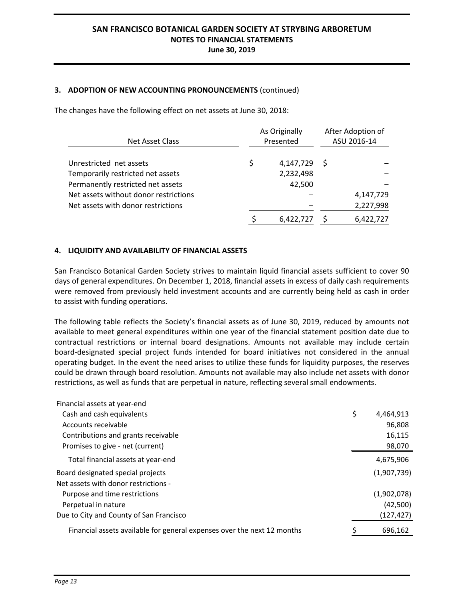## **3. ADOPTION OF NEW ACCOUNTING PRONOUNCEMENTS** (continued)

The changes have the following effect on net assets at June 30, 2018:

| Net Asset Class                       |    | As Originally<br>Presented |     | After Adoption of<br>ASU 2016-14 |  |  |
|---------------------------------------|----|----------------------------|-----|----------------------------------|--|--|
| Unrestricted net assets               | \$ | 4,147,729                  | - S |                                  |  |  |
| Temporarily restricted net assets     |    | 2,232,498                  |     |                                  |  |  |
| Permanently restricted net assets     |    | 42,500                     |     |                                  |  |  |
| Net assets without donor restrictions |    |                            |     | 4,147,729                        |  |  |
| Net assets with donor restrictions    |    |                            |     | 2,227,998                        |  |  |
|                                       |    | 6,422,727                  |     | 6,422,727                        |  |  |

## **4. LIQUIDITY AND AVAILABILITY OF FINANCIAL ASSETS**

San Francisco Botanical Garden Society strives to maintain liquid financial assets sufficient to cover 90 days of general expenditures. On December 1, 2018, financial assets in excess of daily cash requirements were removed from previously held investment accounts and are currently being held as cash in order to assist with funding operations.

The following table reflects the Society's financial assets as of June 30, 2019, reduced by amounts not available to meet general expenditures within one year of the financial statement position date due to contractual restrictions or internal board designations. Amounts not available may include certain board-designated special project funds intended for board initiatives not considered in the annual operating budget. In the event the need arises to utilize these funds for liquidity purposes, the reserves could be drawn through board resolution. Amounts not available may also include net assets with donor restrictions, as well as funds that are perpetual in nature, reflecting several small endowments.

| Financial assets at year-end                                            |                 |
|-------------------------------------------------------------------------|-----------------|
| Cash and cash equivalents                                               | \$<br>4,464,913 |
| Accounts receivable                                                     | 96,808          |
| Contributions and grants receivable                                     | 16,115          |
| Promises to give - net (current)                                        | 98,070          |
| Total financial assets at year-end                                      | 4,675,906       |
| Board designated special projects                                       | (1,907,739)     |
| Net assets with donor restrictions -                                    |                 |
| Purpose and time restrictions                                           | (1,902,078)     |
| Perpetual in nature                                                     | (42,500)        |
| Due to City and County of San Francisco                                 | (127, 427)      |
| Financial assets available for general expenses over the next 12 months | 696,162         |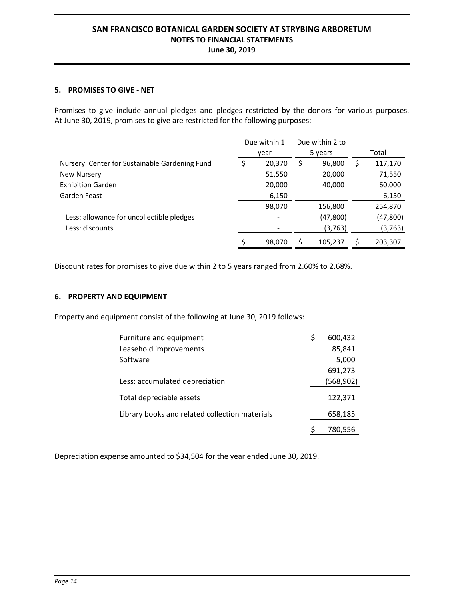## **5. PROMISES TO GIVE - NET**

Promises to give include annual pledges and pledges restricted by the donors for various purposes. At June 30, 2019, promises to give are restricted for the following purposes:

|                                                | Due within 1 |        |     | Due within 2 to |     |           |
|------------------------------------------------|--------------|--------|-----|-----------------|-----|-----------|
|                                                |              | year   |     | 5 years         |     | Total     |
| Nursery: Center for Sustainable Gardening Fund | \$           | 20,370 | \$  | 96,800          | \$. | 117,170   |
| New Nursery                                    |              | 51,550 |     | 20,000          |     | 71,550    |
| <b>Exhibition Garden</b>                       |              | 20,000 |     | 40,000          |     | 60,000    |
| Garden Feast                                   |              | 6,150  |     |                 |     | 6,150     |
|                                                |              | 98,070 |     | 156,800         |     | 254,870   |
| Less: allowance for uncollectible pledges      |              |        |     | (47, 800)       |     | (47, 800) |
| Less: discounts                                |              |        |     | (3,763)         |     | (3, 763)  |
|                                                |              | 98,070 | \$. | 105,237         | S   | 203,307   |

Discount rates for promises to give due within 2 to 5 years ranged from 2.60% to 2.68%.

## **6. PROPERTY AND EQUIPMENT**

Property and equipment consist of the following at June 30, 2019 follows:

| Furniture and equipment                        | \$<br>600,432 |
|------------------------------------------------|---------------|
| Leasehold improvements                         | 85,841        |
| Software                                       | 5,000         |
|                                                | 691,273       |
| Less: accumulated depreciation                 | (568,902)     |
| Total depreciable assets                       | 122,371       |
| Library books and related collection materials | 658,185       |
|                                                | 780,556       |

Depreciation expense amounted to \$34,504 for the year ended June 30, 2019.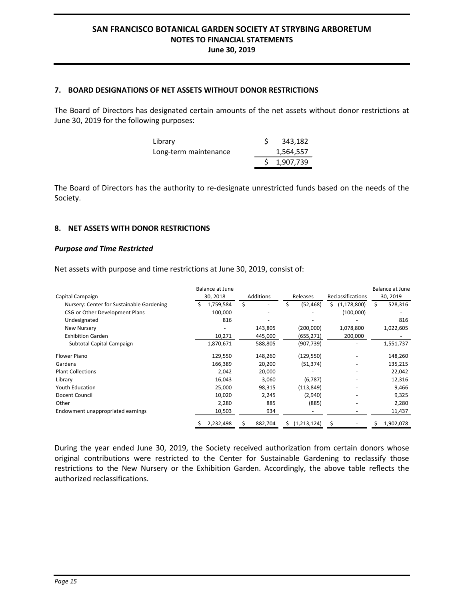### **7. BOARD DESIGNATIONS OF NET ASSETS WITHOUT DONOR RESTRICTIONS**

The Board of Directors has designated certain amounts of the net assets without donor restrictions at June 30, 2019 for the following purposes:

| Library               | 343,182     |
|-----------------------|-------------|
| Long-term maintenance | 1,564,557   |
|                       | \$1,907,739 |

The Board of Directors has the authority to re-designate unrestricted funds based on the needs of the Society.

### **8. NET ASSETS WITH DONOR RESTRICTIONS**

#### *Purpose and Time Restricted*

Net assets with purpose and time restrictions at June 30, 2019, consist of:

|                                           | Balance at June |           |                                      |                     | Balance at June |  |
|-------------------------------------------|-----------------|-----------|--------------------------------------|---------------------|-----------------|--|
| Capital Campaign                          | 30, 2018        | Additions | <b>Reclassifications</b><br>Releases |                     | 30, 2019        |  |
| Nursery: Center for Sustainable Gardening | 1,759,584       | \$        | \$<br>(52, 468)                      | (1, 178, 800)<br>Ś. | Ś.<br>528,316   |  |
| CSG or Other Development Plans            | 100,000         |           |                                      | (100,000)           |                 |  |
| Undesignated                              | 816             |           |                                      |                     | 816             |  |
| <b>New Nursery</b>                        |                 | 143,805   | (200,000)                            | 1,078,800           | 1,022,605       |  |
| <b>Exhibition Garden</b>                  | 10,271          | 445,000   | (655, 271)                           | 200,000             |                 |  |
| Subtotal Capital Campaign                 | 1,870,671       | 588,805   | (907, 739)                           |                     | 1,551,737       |  |
| <b>Flower Piano</b>                       | 129,550         | 148,260   | (129, 550)                           |                     | 148,260         |  |
| Gardens                                   | 166,389         | 20,200    | (51, 374)                            |                     | 135,215         |  |
| <b>Plant Collections</b>                  | 2,042           | 20,000    |                                      |                     | 22,042          |  |
| Library                                   | 16,043          | 3,060     | (6, 787)                             |                     | 12,316          |  |
| <b>Youth Education</b>                    | 25,000          | 98,315    | (113, 849)                           |                     | 9,466           |  |
| Docent Council                            | 10,020          | 2,245     | (2,940)                              |                     | 9,325           |  |
| Other                                     | 2,280           | 885       | (885)                                |                     | 2,280           |  |
| Endowment unappropriated earnings         | 10,503          | 934       |                                      |                     | 11,437          |  |
|                                           | 2,232,498       | 882,704   | (1,213,124)                          | Ś                   | 1,902,078       |  |

During the year ended June 30, 2019, the Society received authorization from certain donors whose original contributions were restricted to the Center for Sustainable Gardening to reclassify those restrictions to the New Nursery or the Exhibition Garden. Accordingly, the above table reflects the authorized reclassifications.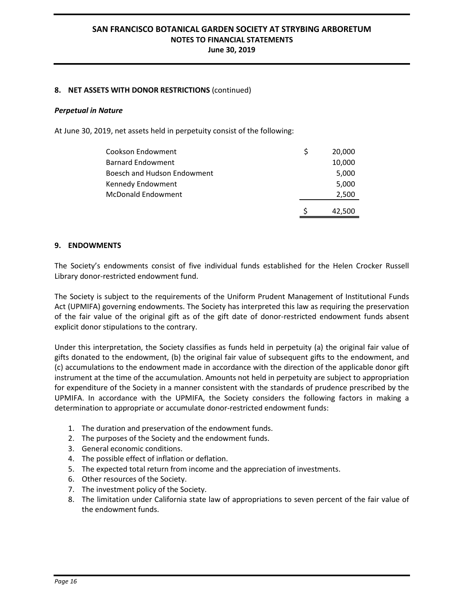## **8. NET ASSETS WITH DONOR RESTRICTIONS** (continued)

### *Perpetual in Nature*

At June 30, 2019, net assets held in perpetuity consist of the following:

| Cookson Endowment           | 20,000 |
|-----------------------------|--------|
| <b>Barnard Endowment</b>    | 10,000 |
| Boesch and Hudson Endowment | 5,000  |
| Kennedy Endowment           | 5,000  |
| <b>McDonald Endowment</b>   | 2,500  |
|                             | 42,500 |

## **9. ENDOWMENTS**

The Society's endowments consist of five individual funds established for the Helen Crocker Russell Library donor-restricted endowment fund.

The Society is subject to the requirements of the Uniform Prudent Management of Institutional Funds Act (UPMIFA) governing endowments. The Society has interpreted this law as requiring the preservation of the fair value of the original gift as of the gift date of donor-restricted endowment funds absent explicit donor stipulations to the contrary.

Under this interpretation, the Society classifies as funds held in perpetuity (a) the original fair value of gifts donated to the endowment, (b) the original fair value of subsequent gifts to the endowment, and (c) accumulations to the endowment made in accordance with the direction of the applicable donor gift instrument at the time of the accumulation. Amounts not held in perpetuity are subject to appropriation for expenditure of the Society in a manner consistent with the standards of prudence prescribed by the UPMIFA. In accordance with the UPMIFA, the Society considers the following factors in making a determination to appropriate or accumulate donor-restricted endowment funds:

- 1. The duration and preservation of the endowment funds.
- 2. The purposes of the Society and the endowment funds.
- 3. General economic conditions.
- 4. The possible effect of inflation or deflation.
- 5. The expected total return from income and the appreciation of investments.
- 6. Other resources of the Society.
- 7. The investment policy of the Society.
- 8. The limitation under California state law of appropriations to seven percent of the fair value of the endowment funds.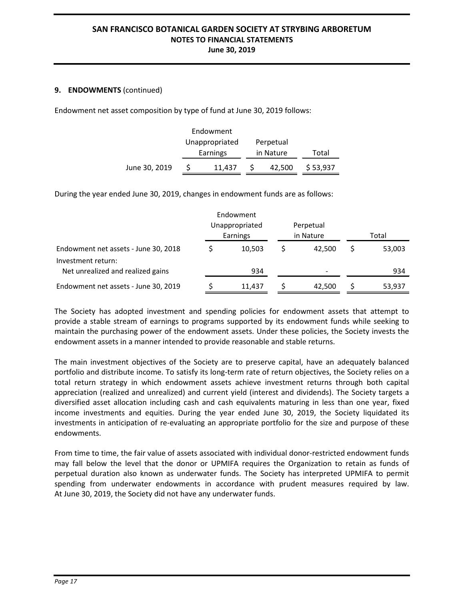## **9. ENDOWMENTS** (continued)

Endowment net asset composition by type of fund at June 30, 2019 follows:

|               |                | Endowment |           |           |          |
|---------------|----------------|-----------|-----------|-----------|----------|
|               | Unappropriated |           | Perpetual |           |          |
|               | Earnings       |           |           | in Nature | Total    |
| June 30, 2019 |                | 11.437    |           | 42.500    | \$53,937 |

During the year ended June 30, 2019, changes in endowment funds are as follows:

|                                                            | Endowment<br>Unappropriated<br>Earnings |        | Perpetual<br>in Nature |                          | Total |        |
|------------------------------------------------------------|-----------------------------------------|--------|------------------------|--------------------------|-------|--------|
| Endowment net assets - June 30, 2018<br>Investment return: |                                         | 10,503 |                        | 42.500                   |       | 53,003 |
| Net unrealized and realized gains                          |                                         | 934    |                        | $\overline{\phantom{a}}$ |       | 934    |
| Endowment net assets - June 30, 2019                       |                                         | 11,437 |                        | 42.500                   |       | 53,937 |

The Society has adopted investment and spending policies for endowment assets that attempt to provide a stable stream of earnings to programs supported by its endowment funds while seeking to maintain the purchasing power of the endowment assets. Under these policies, the Society invests the endowment assets in a manner intended to provide reasonable and stable returns.

The main investment objectives of the Society are to preserve capital, have an adequately balanced portfolio and distribute income. To satisfy its long-term rate of return objectives, the Society relies on a total return strategy in which endowment assets achieve investment returns through both capital appreciation (realized and unrealized) and current yield (interest and dividends). The Society targets a diversified asset allocation including cash and cash equivalents maturing in less than one year, fixed income investments and equities. During the year ended June 30, 2019, the Society liquidated its investments in anticipation of re-evaluating an appropriate portfolio for the size and purpose of these endowments.

From time to time, the fair value of assets associated with individual donor-restricted endowment funds may fall below the level that the donor or UPMIFA requires the Organization to retain as funds of perpetual duration also known as underwater funds. The Society has interpreted UPMIFA to permit spending from underwater endowments in accordance with prudent measures required by law. At June 30, 2019, the Society did not have any underwater funds.